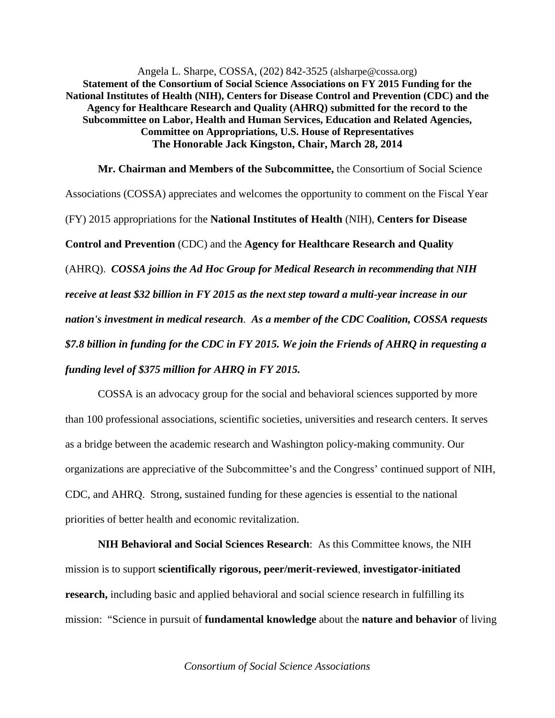Angela L. Sharpe, COSSA, (202) 842-3525 (alsharpe@cossa.org) **Statement of the Consortium of Social Science Associations on FY 2015 Funding for the National Institutes of Health (NIH), Centers for Disease Control and Prevention (CDC) and the Agency for Healthcare Research and Quality (AHRQ) submitted for the record to the Subcommittee on Labor, Health and Human Services, Education and Related Agencies, Committee on Appropriations, U.S. House of Representatives The Honorable Jack Kingston, Chair, March 28, 2014**

**Mr. Chairman and Members of the Subcommittee,** the Consortium of Social Science Associations (COSSA) appreciates and welcomes the opportunity to comment on the Fiscal Year (FY) 2015 appropriations for the **National Institutes of Health** (NIH), **Centers for Disease Control and Prevention** (CDC) and the **Agency for Healthcare Research and Quality** (AHRQ). *COSSA joins the Ad Hoc Group for Medical Research in recommending that NIH receive at least \$32 billion in FY 2015 as the next step toward a multi-year increase in our nation's investment in medical research. As a member of the CDC Coalition, COSSA requests \$7.8 billion in funding for the CDC in FY 2015. We join the Friends of AHRQ in requesting a funding level of \$375 million for AHRQ in FY 2015.*

COSSA is an advocacy group for the social and behavioral sciences supported by more than 100 professional associations, scientific societies, universities and research centers. It serves as a bridge between the academic research and Washington policy-making community. Our organizations are appreciative of the Subcommittee's and the Congress' continued support of NIH, CDC, and AHRQ. Strong, sustained funding for these agencies is essential to the national priorities of better health and economic revitalization.

**NIH Behavioral and Social Sciences Research**: As this Committee knows, the NIH mission is to support **scientifically rigorous, peer/merit-reviewed**, **investigator-initiated research,** including basic and applied behavioral and social science research in fulfilling its mission: "Science in pursuit of **fundamental knowledge** about the **nature and behavior** of living

*Consortium of Social Science Associations*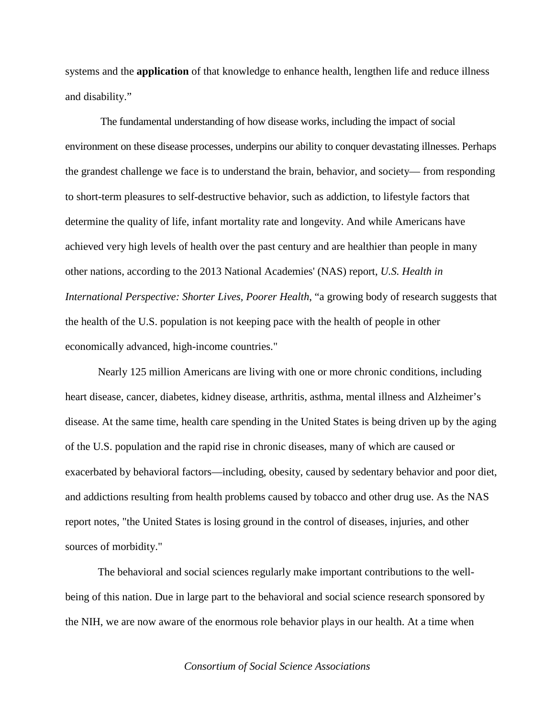systems and the **application** of that knowledge to enhance health, lengthen life and reduce illness and disability."

The fundamental understanding of how disease works, including the impact of social environment on these disease processes, underpins our ability to conquer devastating illnesses. Perhaps the grandest challenge we face is to understand the brain, behavior, and society— from responding to short-term pleasures to self-destructive behavior, such as addiction, to lifestyle factors that determine the quality of life, infant mortality rate and longevity. And while Americans have achieved very high levels of health over the past century and are healthier than people in many other nations, according to the 2013 National Academies' (NAS) report, *U.S. Health in International Perspective: Shorter Lives, Poorer Health*, "a growing body of research suggests that the health of the U.S. population is not keeping pace with the health of people in other economically advanced, high-income countries."

Nearly 125 million Americans are living with one or more chronic conditions, including heart disease, cancer, diabetes, kidney disease, arthritis, asthma, mental illness and Alzheimer's disease. At the same time, health care spending in the United States is being driven up by the aging of the U.S. population and the rapid rise in chronic diseases, many of which are caused or exacerbated by behavioral factors—including, obesity, caused by sedentary behavior and poor diet, and addictions resulting from health problems caused by tobacco and other drug use. As the NAS report notes, "the United States is losing ground in the control of diseases, injuries, and other sources of morbidity."

The behavioral and social sciences regularly make important contributions to the wellbeing of this nation. Due in large part to the behavioral and social science research sponsored by the NIH, we are now aware of the enormous role behavior plays in our health. At a time when

## *Consortium of Social Science Associations*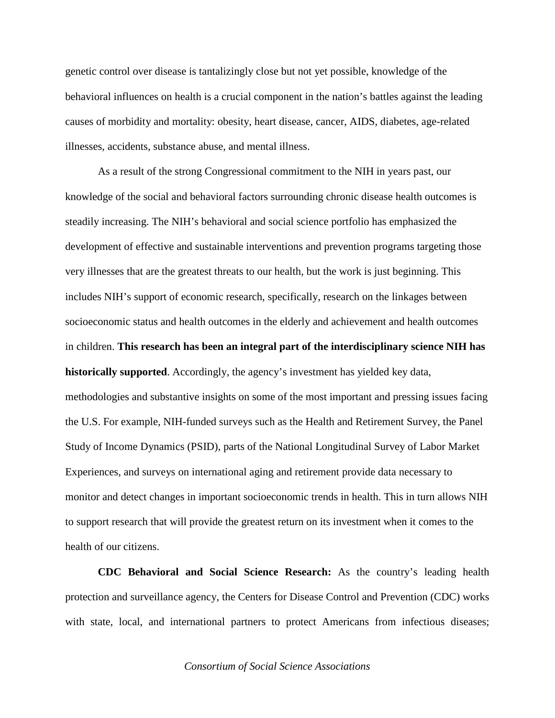genetic control over disease is tantalizingly close but not yet possible, knowledge of the behavioral influences on health is a crucial component in the nation's battles against the leading causes of morbidity and mortality: obesity, heart disease, cancer, AIDS, diabetes, age-related illnesses, accidents, substance abuse, and mental illness.

As a result of the strong Congressional commitment to the NIH in years past, our knowledge of the social and behavioral factors surrounding chronic disease health outcomes is steadily increasing. The NIH's behavioral and social science portfolio has emphasized the development of effective and sustainable interventions and prevention programs targeting those very illnesses that are the greatest threats to our health, but the work is just beginning. This includes NIH's support of economic research, specifically, research on the linkages between socioeconomic status and health outcomes in the elderly and achievement and health outcomes in children. **This research has been an integral part of the interdisciplinary science NIH has historically supported**. Accordingly, the agency's investment has yielded key data, methodologies and substantive insights on some of the most important and pressing issues facing the U.S. For example, NIH-funded surveys such as the Health and Retirement Survey, the Panel Study of Income Dynamics (PSID), parts of the National Longitudinal Survey of Labor Market Experiences, and surveys on international aging and retirement provide data necessary to monitor and detect changes in important socioeconomic trends in health. This in turn allows NIH to support research that will provide the greatest return on its investment when it comes to the health of our citizens.

**CDC Behavioral and Social Science Research:** As the country's leading health protection and surveillance agency, the Centers for Disease Control and Prevention (CDC) works with state, local, and international partners to protect Americans from infectious diseases;

*Consortium of Social Science Associations*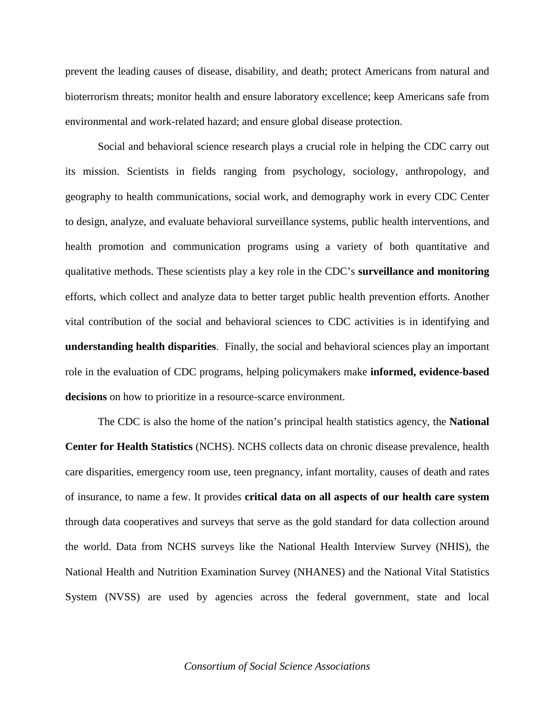prevent the leading causes of disease, disability, and death; protect Americans from natural and bioterrorism threats; monitor health and ensure laboratory excellence; keep Americans safe from environmental and work-related hazard; and ensure global disease protection.

Social and behavioral science research plays a crucial role in helping the CDC carry out its mission. Scientists in fields ranging from psychology, sociology, anthropology, and geography to health communications, social work, and demography work in every CDC Center to design, analyze, and evaluate behavioral surveillance systems, public health interventions, and health promotion and communication programs using a variety of both quantitative and qualitative methods. These scientists play a key role in the CDC's **surveillance and monitoring** efforts, which collect and analyze data to better target public health prevention efforts. Another vital contribution of the social and behavioral sciences to CDC activities is in identifying and **understanding health disparities**. Finally, the social and behavioral sciences play an important role in the evaluation of CDC programs, helping policymakers make **informed, evidence-based decisions** on how to prioritize in a resource-scarce environment.

The CDC is also the home of the nation's principal health statistics agency, the **National Center for Health Statistics** (NCHS). NCHS collects data on chronic disease prevalence, health care disparities, emergency room use, teen pregnancy, infant mortality, causes of death and rates of insurance, to name a few. It provides **critical data on all aspects of our health care system** through data cooperatives and surveys that serve as the gold standard for data collection around the world. Data from NCHS surveys like the National Health Interview Survey (NHIS), the National Health and Nutrition Examination Survey (NHANES) and the National Vital Statistics System (NVSS) are used by agencies across the federal government, state and local